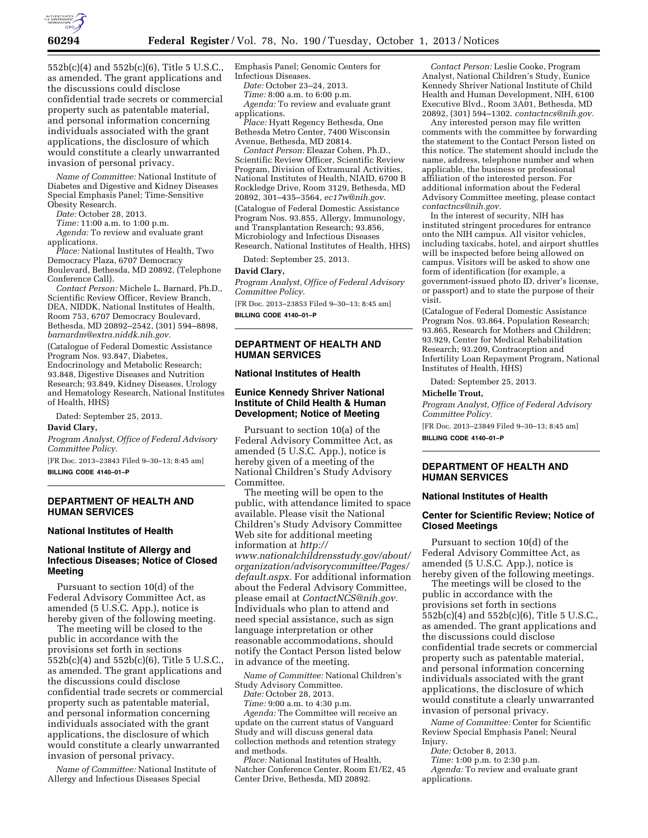

552b(c)(4) and 552b(c)(6), Title 5 U.S.C., as amended. The grant applications and the discussions could disclose confidential trade secrets or commercial property such as patentable material, and personal information concerning individuals associated with the grant applications, the disclosure of which would constitute a clearly unwarranted invasion of personal privacy.

*Name of Committee:* National Institute of Diabetes and Digestive and Kidney Diseases Special Emphasis Panel; Time-Sensitive Obesity Research.

*Date:* October 28, 2013.

*Time:* 11:00 a.m. to 1:00 p.m.

*Agenda:* To review and evaluate grant applications.

*Place:* National Institutes of Health, Two Democracy Plaza, 6707 Democracy Boulevard, Bethesda, MD 20892, (Telephone Conference Call).

*Contact Person:* Michele L. Barnard, Ph.D., Scientific Review Officer, Review Branch, DEA, NIDDK, National Institutes of Health, Room 753, 6707 Democracy Boulevard, Bethesda, MD 20892–2542, (301) 594–8898, *[barnardm@extra.niddk.nih.gov.](mailto:barnardm@extra.niddk.nih.gov)* 

(Catalogue of Federal Domestic Assistance Program Nos. 93.847, Diabetes, Endocrinology and Metabolic Research; 93.848, Digestive Diseases and Nutrition Research; 93.849, Kidney Diseases, Urology and Hematology Research, National Institutes of Health, HHS)

Dated: September 25, 2013.

## **David Clary,**

*Program Analyst, Office of Federal Advisory Committee Policy.* 

[FR Doc. 2013–23843 Filed 9–30–13; 8:45 am] **BILLING CODE 4140–01–P** 

## **DEPARTMENT OF HEALTH AND HUMAN SERVICES**

## **National Institutes of Health**

# **National Institute of Allergy and Infectious Diseases; Notice of Closed Meeting**

Pursuant to section 10(d) of the Federal Advisory Committee Act, as amended (5 U.S.C. App.), notice is hereby given of the following meeting.

The meeting will be closed to the public in accordance with the provisions set forth in sections 552b(c)(4) and 552b(c)(6), Title 5 U.S.C., as amended. The grant applications and the discussions could disclose confidential trade secrets or commercial property such as patentable material, and personal information concerning individuals associated with the grant applications, the disclosure of which would constitute a clearly unwarranted invasion of personal privacy.

*Name of Committee:* National Institute of Allergy and Infectious Diseases Special

Emphasis Panel; Genomic Centers for Infectious Diseases.

*Date:* October 23–24, 2013.

*Time:* 8:00 a.m. to 6:00 p.m. Agenda: To review and evaluate grant applications.

*Place:* Hyatt Regency Bethesda, One Bethesda Metro Center, 7400 Wisconsin Avenue, Bethesda, MD 20814.

*Contact Person:* Eleazar Cohen, Ph.D., Scientific Review Officer, Scientific Review Program, Division of Extramural Activities, National Institutes of Health, NIAID, 6700 B Rockledge Drive, Room 3129, Bethesda, MD 20892, 301–435–3564, *[ec17w@nih.gov](mailto:ec17w@nih.gov)*.

(Catalogue of Federal Domestic Assistance Program Nos. 93.855, Allergy, Immunology, and Transplantation Research; 93.856, Microbiology and Infectious Diseases Research, National Institutes of Health, HHS)

Dated: September 25, 2013.

#### **David Clary,**

*Program Analyst, Office of Federal Advisory Committee Policy.* 

[FR Doc. 2013–23853 Filed 9–30–13; 8:45 am] **BILLING CODE 4140–01–P** 

# **DEPARTMENT OF HEALTH AND HUMAN SERVICES**

### **National Institutes of Health**

## **Eunice Kennedy Shriver National Institute of Child Health & Human Development; Notice of Meeting**

Pursuant to section 10(a) of the Federal Advisory Committee Act, as amended (5 U.S.C. App.), notice is hereby given of a meeting of the National Children's Study Advisory Committee.

The meeting will be open to the public, with attendance limited to space available. Please visit the National Children's Study Advisory Committee Web site for additional meeting information at *[http://](http://www.nationalchildrensstudy.gov/about/organization/advisorycommittee/Pages/default.aspx)  [www.nationalchildrensstudy.gov/about/](http://www.nationalchildrensstudy.gov/about/organization/advisorycommittee/Pages/default.aspx) [organization/advisorycommittee/Pages/](http://www.nationalchildrensstudy.gov/about/organization/advisorycommittee/Pages/default.aspx)  [default.aspx.](http://www.nationalchildrensstudy.gov/about/organization/advisorycommittee/Pages/default.aspx)* For additional information about the Federal Advisory Committee, please email at *[ContactNCS@nih.gov.](mailto:ContactNCS@nih.gov)*  Individuals who plan to attend and need special assistance, such as sign language interpretation or other reasonable accommodations, should notify the Contact Person listed below in advance of the meeting.

*Name of Committee:* National Children's Study Advisory Committee.

*Date:* October 28, 2013.

*Time:* 9:00 a.m. to 4:30 p.m. *Agenda:* The Committee will receive an update on the current status of Vanguard Study and will discuss general data collection methods and retention strategy and methods.

*Place:* National Institutes of Health, Natcher Conference Center, Room E1/E2, 45 Center Drive, Bethesda, MD 20892.

*Contact Person:* Leslie Cooke, Program Analyst, National Children's Study, Eunice Kennedy Shriver National Institute of Child Health and Human Development, NIH, 6100 Executive Blvd., Room 3A01, Bethesda, MD 20892, (301) 594–1302. *[contactncs@nih.gov.](mailto:contactncs@nih.gov)* 

Any interested person may file written comments with the committee by forwarding the statement to the Contact Person listed on this notice. The statement should include the name, address, telephone number and when applicable, the business or professional affiliation of the interested person. For additional information about the Federal Advisory Committee meeting, please contact *[contactncs@nih.gov.](mailto:contactncs@nih.gov)* 

In the interest of security, NIH has instituted stringent procedures for entrance onto the NIH campus. All visitor vehicles, including taxicabs, hotel, and airport shuttles will be inspected before being allowed on campus. Visitors will be asked to show one form of identification (for example, a government-issued photo ID, driver's license, or passport) and to state the purpose of their visit.

(Catalogue of Federal Domestic Assistance Program Nos. 93.864, Population Research; 93.865, Research for Mothers and Children; 93.929, Center for Medical Rehabilitation Research; 93.209, Contraception and Infertility Loan Repayment Program, National Institutes of Health, HHS)

Dated: September 25, 2013.

#### **Michelle Trout,**

*Program Analyst, Office of Federal Advisory Committee Policy.* 

[FR Doc. 2013–23849 Filed 9–30–13; 8:45 am] **BILLING CODE 4140–01–P** 

## **DEPARTMENT OF HEALTH AND HUMAN SERVICES**

### **National Institutes of Health**

## **Center for Scientific Review; Notice of Closed Meetings**

Pursuant to section 10(d) of the Federal Advisory Committee Act, as amended (5 U.S.C. App.), notice is hereby given of the following meetings.

The meetings will be closed to the public in accordance with the provisions set forth in sections 552b(c)(4) and 552b(c)(6), Title 5 U.S.C., as amended. The grant applications and the discussions could disclose confidential trade secrets or commercial property such as patentable material, and personal information concerning individuals associated with the grant applications, the disclosure of which would constitute a clearly unwarranted invasion of personal privacy.

*Name of Committee:* Center for Scientific Review Special Emphasis Panel; Neural Injury.

*Date:* October 8, 2013.

*Time:* 1:00 p.m. to 2:30 p.m.

*Agenda:* To review and evaluate grant applications.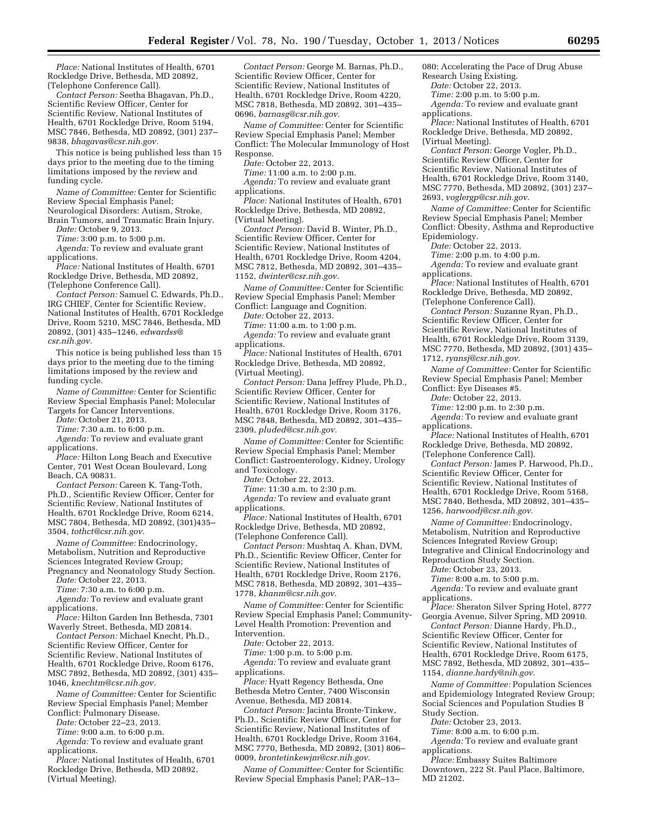*Place:* National Institutes of Health, 6701 Rockledge Drive, Bethesda, MD 20892, (Telephone Conference Call).

*Contact Person:* Seetha Bhagavan, Ph.D., Scientific Review Officer, Center for Scientific Review, National Institutes of Health, 6701 Rockledge Drive, Room 5194, MSC 7846, Bethesda, MD 20892, (301) 237– 9838, *[bhagavas@csr.nih.gov.](mailto:bhagavas@csr.nih.gov)* 

This notice is being published less than 15 days prior to the meeting due to the timing limitations imposed by the review and funding cycle.

*Name of Committee:* Center for Scientific Review Special Emphasis Panel;

Neurological Disorders: Autism, Stroke, Brain Tumors, and Traumatic Brain Injury.

*Date:* October 9, 2013.

*Time:* 3:00 p.m. to 5:00 p.m.

*Agenda:* To review and evaluate grant applications.

*Place:* National Institutes of Health, 6701 Rockledge Drive, Bethesda, MD 20892, (Telephone Conference Call).

*Contact Person:* Samuel C. Edwards, Ph.D., IRG CHIEF, Center for Scientific Review, National Institutes of Health, 6701 Rockledge Drive, Room 5210, MSC 7846, Bethesda, MD 20892, (301) 435–1246, *[edwardss@](mailto:edwardss@csr.nih.gov) [csr.nih.gov.](mailto:edwardss@csr.nih.gov)* 

This notice is being published less than 15 days prior to the meeting due to the timing limitations imposed by the review and funding cycle.

*Name of Committee:* Center for Scientific Review Special Emphasis Panel; Molecular Targets for Cancer Interventions.

*Date:* October 21, 2013.

*Time:* 7:30 a.m. to 6:00 p.m.

*Agenda:* To review and evaluate grant applications.

*Place:* Hilton Long Beach and Executive Center, 701 West Ocean Boulevard, Long Beach, CA 90831.

*Contact Person:* Careen K. Tang-Toth, Ph.D., Scientific Review Officer, Center for Scientific Review, National Institutes of Health, 6701 Rockledge Drive, Room 6214, MSC 7804, Bethesda, MD 20892, (301)435– 3504, *[tothct@csr.nih.gov.](mailto:tothct@csr.nih.gov)* 

*Name of Committee:* Endocrinology, Metabolism, Nutrition and Reproductive Sciences Integrated Review Group;

Pregnancy and Neonatology Study Section. *Date:* October 22, 2013.

*Time:* 7:30 a.m. to 6:00 p.m.

*Agenda:* To review and evaluate grant applications.

*Place:* Hilton Garden Inn Bethesda, 7301 Waverly Street, Bethesda, MD 20814.

*Contact Person:* Michael Knecht, Ph.D., Scientific Review Officer, Center for Scientific Review, National Institutes of Health, 6701 Rockledge Drive, Room 6176, MSC 7892, Bethesda, MD 20892, (301) 435– 1046, *[knechtm@csr.nih.gov.](mailto:knechtm@csr.nih.gov)* 

*Name of Committee:* Center for Scientific Review Special Emphasis Panel; Member Conflict: Pulmonary Disease.

*Date:* October 22–23, 2013.

*Time:* 9:00 a.m. to 6:00 p.m.

*Agenda:* To review and evaluate grant applications.

*Place:* National Institutes of Health, 6701 Rockledge Drive, Bethesda, MD 20892, (Virtual Meeting).

*Contact Person:* George M. Barnas, Ph.D., Scientific Review Officer, Center for Scientific Review, National Institutes of Health, 6701 Rockledge Drive, Room 4220, MSC 7818, Bethesda, MD 20892, 301–435– 0696, *[barnasg@csr.nih.gov.](mailto:barnasg@csr.nih.gov)* 

*Name of Committee:* Center for Scientific Review Special Emphasis Panel; Member Conflict: The Molecular Immunology of Host Response.

*Date:* October 22, 2013.

*Time:* 11:00 a.m. to 2:00 p.m. *Agenda:* To review and evaluate grant applications.

*Place:* National Institutes of Health, 6701 Rockledge Drive, Bethesda, MD 20892, (Virtual Meeting).

*Contact Person:* David B. Winter, Ph.D., Scientific Review Officer, Center for Scientific Review, National Institutes of Health, 6701 Rockledge Drive, Room 4204, MSC 7812, Bethesda, MD 20892, 301–435– 1152, *[dwinter@csr.nih.gov.](mailto:dwinter@csr.nih.gov)* 

*Name of Committee:* Center for Scientific Review Special Emphasis Panel; Member Conflict: Language and Cognition.

*Date:* October 22, 2013.

*Time:* 11:00 a.m. to 1:00 p.m.

*Agenda:* To review and evaluate grant applications.

*Place:* National Institutes of Health, 6701 Rockledge Drive, Bethesda, MD 20892, (Virtual Meeting).

*Contact Person:* Dana Jeffrey Plude, Ph.D., Scientific Review Officer, Center for Scientific Review, National Institutes of Health, 6701 Rockledge Drive, Room 3176, MSC 7848, Bethesda, MD 20892, 301–435– 2309, *[pluded@csr.nih.gov.](mailto:pluded@csr.nih.gov)* 

*Name of Committee:* Center for Scientific Review Special Emphasis Panel; Member Conflict: Gastroenterology, Kidney, Urology and Toxicology.

*Date:* October 22, 2013.

*Time:* 11:30 a.m. to 2:30 p.m.

*Agenda:* To review and evaluate grant applications.

*Place:* National Institutes of Health, 6701 Rockledge Drive, Bethesda, MD 20892, (Telephone Conference Call).

*Contact Person:* Mushtaq A. Khan, DVM, Ph.D., Scientific Review Officer, Center for Scientific Review, National Institutes of Health, 6701 Rockledge Drive, Room 2176, MSC 7818, Bethesda, MD 20892, 301–435– 1778, *[khanm@csr.nih.gov](mailto:khanm@csr.nih.gov)*.

*Name of Committee:* Center for Scientific Review Special Emphasis Panel; Community-Level Health Promotion: Prevention and Intervention.

*Date:* October 22, 2013.

*Time:* 1:00 p.m. to 5:00 p.m.

*Agenda:* To review and evaluate grant applications.

*Place:* Hyatt Regency Bethesda, One Bethesda Metro Center, 7400 Wisconsin Avenue, Bethesda, MD 20814.

*Contact Person:* Jacinta Bronte-Tinkew, Ph.D., Scientific Review Officer, Center for Scientific Review, National Institutes of Health, 6701 Rockledge Drive, Room 3164, MSC 7770, Bethesda, MD 20892, (301) 806– 0009, *[brontetinkewjm@csr.nih.gov](mailto:brontetinkewjm@csr.nih.gov)*.

*Name of Committee:* Center for Scientific Review Special Emphasis Panel; PAR–13–

080: Accelerating the Pace of Drug Abuse Research Using Existing.

*Date:* October 22, 2013.

*Time:* 2:00 p.m. to 5:00 p.m.

*Agenda:* To review and evaluate grant applications.

*Place:* National Institutes of Health, 6701 Rockledge Drive, Bethesda, MD 20892, (Virtual Meeting).

*Contact Person:* George Vogler, Ph.D., Scientific Review Officer, Center for Scientific Review, National Institutes of Health, 6701 Rockledge Drive, Room 3140, MSC 7770, Bethesda, MD 20892, (301) 237– 2693, *[voglergp@csr.nih.gov](mailto:voglergp@csr.nih.gov)*.

*Name of Committee:* Center for Scientific Review Special Emphasis Panel; Member Conflict: Obesity, Asthma and Reproductive Epidemiology.

*Date:* October 22, 2013.

*Time:* 2:00 p.m. to 4:00 p.m.

*Agenda:* To review and evaluate grant applications.

*Place:* National Institutes of Health, 6701 Rockledge Drive, Bethesda, MD 20892, (Telephone Conference Call).

*Contact Person:* Suzanne Ryan, Ph.D., Scientific Review Officer, Center for Scientific Review, National Institutes of Health, 6701 Rockledge Drive, Room 3139, MSC 7770, Bethesda, MD 20892, (301) 435– 1712, *[ryansj@csr.nih.gov](mailto:ryansj@csr.nih.gov)*.

*Name of Committee:* Center for Scientific Review Special Emphasis Panel; Member Conflict: Eye Diseases #5.

*Date:* October 22, 2013.

*Time:* 12:00 p.m. to 2:30 p.m.

*Agenda:* To review and evaluate grant applications.

*Place:* National Institutes of Health, 6701 Rockledge Drive, Bethesda, MD 20892, (Telephone Conference Call).

*Contact Person:* James P. Harwood, Ph.D., Scientific Review Officer, Center for Scientific Review, National Institutes of Health, 6701 Rockledge Drive, Room 5168, MSC 7840, Bethesda, MD 20892, 301–435– 1256, *[harwoodj@csr.nih.gov](mailto:harwoodj@csr.nih.gov)*.

*Name of Committee:* Endocrinology, Metabolism, Nutrition and Reproductive Sciences Integrated Review Group; Integrative and Clinical Endocrinology and Reproduction Study Section.

*Date:* October 23, 2013.

*Time:* 8:00 a.m. to 5:00 p.m.

*Agenda:* To review and evaluate grant applications.

*Place:* Sheraton Silver Spring Hotel, 8777 Georgia Avenue, Silver Spring, MD 20910.

*Contact Person:* Dianne Hardy, Ph.D., Scientific Review Officer, Center for Scientific Review, National Institutes of Health, 6701 Rockledge Drive, Room 6175, MSC 7892, Bethesda, MD 20892, 301–435– 1154, *[dianne.hardy@nih.gov](mailto:dianne.hardy@nih.gov)*.

*Name of Committee:* Population Sciences and Epidemiology Integrated Review Group; Social Sciences and Population Studies B Study Section.

*Date:* October 23, 2013.

*Time:* 8:00 a.m. to 6:00 p.m.

*Agenda:* To review and evaluate grant applications.

*Place:* Embassy Suites Baltimore Downtown, 222 St. Paul Place, Baltimore, MD 21202.